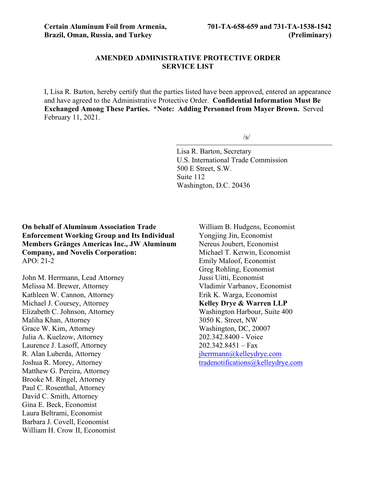## **AMENDED ADMINISTRATIVE PROTECTIVE ORDER SERVICE LIST**

I, Lisa R. Barton, hereby certify that the parties listed have been approved, entered an appearance and have agreed to the Administrative Protective Order. **Confidential Information Must Be Exchanged Among These Parties. \*Note: Adding Personnel from Mayer Brown.** Served February 11, 2021.

/s/

Lisa R. Barton, Secretary U.S. International Trade Commission 500 E Street, S.W. Suite 112 Washington, D.C. 20436

**On behalf of Aluminum Association Trade Enforcement Working Group and Its Individual Members Gränges Americas Inc., JW Aluminum Company, and Novelis Corporation:** APO: 21-2

John M. Herrmann, Lead Attorney Melissa M. Brewer, Attorney Kathleen W. Cannon, Attorney Michael J. Coursey, Attorney Elizabeth C. Johnson, Attorney Maliha Khan, Attorney Grace W. Kim, Attorney Julia A. Kuelzow, Attorney Laurence J. Lasoff, Attorney R. Alan Luberda, Attorney Joshua R. Morey, Attorney Matthew G. Pereira, Attorney Brooke M. Ringel, Attorney Paul C. Rosenthal, Attorney David C. Smith, Attorney Gina E. Beck, Economist Laura Beltrami, Economist Barbara J. Covell, Economist William H. Crow II, Economist

William B. Hudgens, Economist Yongjing Jin, Economist Nereus Joubert, Economist Michael T. Kerwin, Economist Emily Maloof, Economist Greg Rohling, Economist Jussi Uitti, Economist Vladimir Varbanov, Economist Erik K. Warga, Economist **Kelley Drye & Warren LLP** Washington Harbour, Suite 400 3050 K. Street, NW Washington, DC, 20007 202.342.8400 - Voice  $202.342.8451 - Fax$ [jherrmann@kelleydrye.com](mailto:jherrmann@kelleydrye.com) [tradenotifications@kelleydrye.com](mailto:tradenotifications@kelleydrye.com)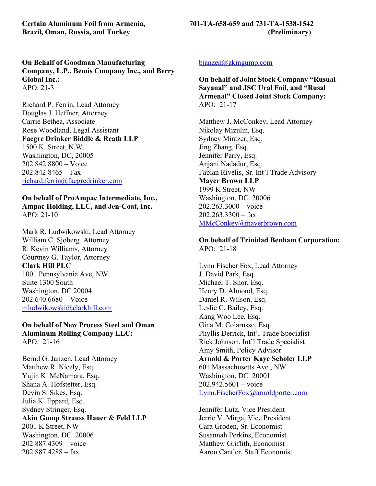**On Behalf of Goodman Manufacturing Company, L.P., Bemis Company Inc., and Berry Global Inc.:** APO: 21-3

Richard P. Ferrin, Lead Attorney Douglas J. Heffner, Attorney Carrie Bethea, Associate Rose Woodland, Legal Assistant **Faegre Drinker Biddle & Reath LLP** 1500 K. Street, N.W. Washington, DC, 20005 202.842.8800 – Voice  $202.842.8465 - Fax$ [richard.ferrin@faegredrinker.com](mailto:richard.ferrin@faegredrinker.com)

**On behalf of ProAmpac Intermediate, Inc., Ampac Holding, LLC, and Jen-Coat, Inc.** APO: 21-10

Mark R. Ludwikowski, Lead Attorney William C. Sjoberg, Attorney R. Kevin Williams, Attorney Courtney G. Taylor, Attorney **Clark Hill PLC** 1001 Pennsylvania Ave, NW Suite 1300 South Washington, DC 20004 202.640.6680 – Voice [mludwikowski@clarkhill.com](mailto:mludwikowski@clarkhill.com)

**On behalf of New Process Steel and Oman Aluminum Rolling Company LLC:** APO: 21-16

Bernd G. Janzen, Lead Attorney Matthew R. Nicely, Esq. Yujin K. McNamara, Esq. Shana A. Hofstetter, Esq. Devin S. Sikes, Esq. Julia K. Eppard, Esq. Sydney Stringer, Esq. **Akin Gump Strauss Hauer & Feld LLP** 2001 K Street, NW Washington, DC 20006 202.887.4309 – voice 202.887.4288 – fax

## [bjanzen@akingump.com](mailto:bjanzen@akingump.com)

**On behalf of Joint Stock Company "Rusual Sayanal" and JSC Ural Foil, and "Rusal Armenal" Closed Joint Stock Company:** APO: 21-17

Matthew J. McConkey, Lead Attorney Nikolay Mizulin, Esq. Sydney Mintzer, Esq. Jing Zhang, Esq. Jennifer Parry, Esq. Anjani Nadadur, Esq. Fabian Rivelis, Sr. Int'l Trade Advisory **Mayer Brown LLP** 1999 K Street, NW Washington, DC 20006 202.263.3000 – voice  $202.263.3300 - fax$ [MMcConkey@mayerbrown.com](mailto:MMcConkey@mayerbrown.com)

**On behalf of Trinidad Benham Corporation:** APO: 21-18

Lynn Fischer Fox, Lead Attorney J. David Park, Esq. Michael T. Shor, Esq. Henry D. Almond, Esq. Daniel R. Wilson, Esq. Leslie C. Bailey, Esq. Kang Woo Lee, Esq. Gina M. Colarusso, Esq. Phyllis Derrick, Int'l Trade Specialist Rick Johnson, Int'l Trade Specialist Amy Smith, Policy Advisor **Arnold & Porter Kaye Scholer LLP** 601 Massachusetts Ave., NW Washington, DC 20001 202.942.5601 – voice [Lynn.FischerFox@arnoldporter.com](mailto:Lynn.FischerFox@arnoldporter.com)

Jennifer Lutz, Vice President Jerrie V. Mirga, Vice President Cara Groden, Sr. Economist Susannah Perkins, Economist Matthew Griffith, Economist Aaron Cantler, Staff Economist